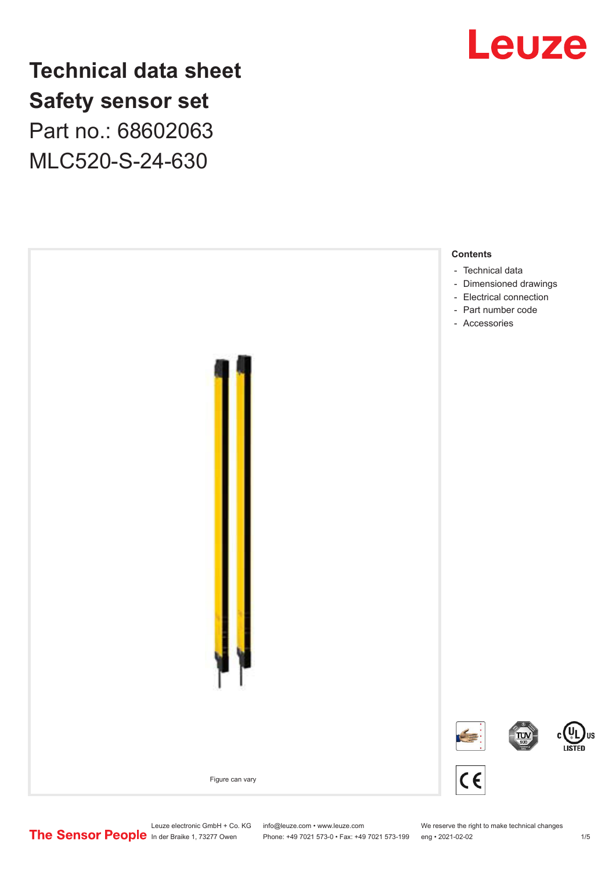

**Technical data sheet Safety sensor set** Part no.: 68602063 MLC520-S-24-630



Leuze electronic GmbH + Co. KG info@leuze.com • www.leuze.com We reserve the right to make technical changes<br> **The Sensor People** in der Braike 1, 73277 Owen Phone: +49 7021 573-0 • Fax: +49 7021 573-199 eng • 2021-02-02

Phone: +49 7021 573-0 • Fax: +49 7021 573-199 eng • 2021-02-02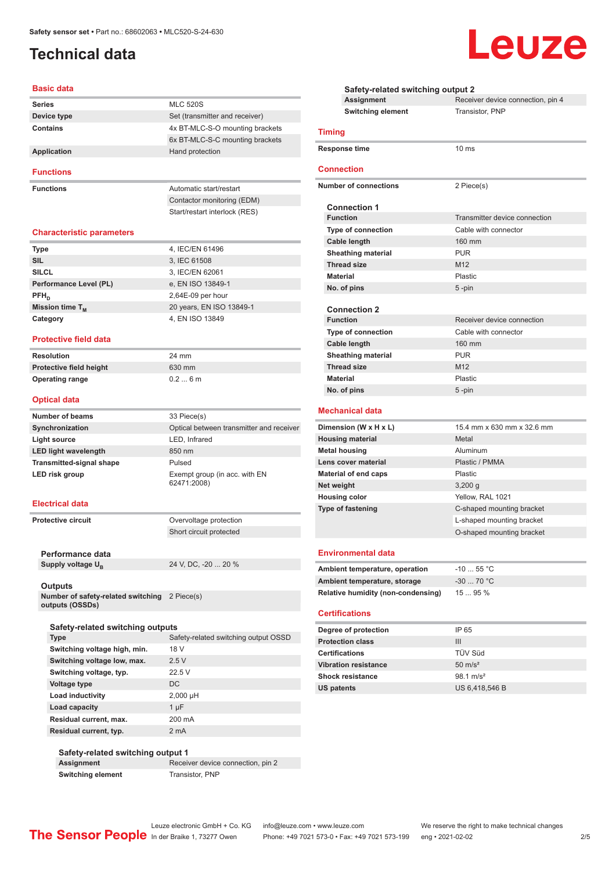### <span id="page-1-0"></span>**Technical data**

### **Basic data**

| <b>Series</b> | <b>MLC 520S</b>                 |
|---------------|---------------------------------|
| Device type   | Set (transmitter and receiver)  |
| Contains      | 4x BT-MLC-S-O mounting brackets |
|               | 6x BT-MLC-S-C mounting brackets |
| Application   | Hand protection                 |
|               |                                 |

### **Functions**

**Functions** Automatic start/restart Contactor monitoring (EDM) Start/restart interlock (RES)

#### **Characteristic parameters**

| <b>Type</b>            | 4, IEC/EN 61496          |
|------------------------|--------------------------|
| <b>SIL</b>             | 3, IEC 61508             |
| <b>SILCL</b>           | 3, IEC/EN 62061          |
| Performance Level (PL) | e, EN ISO 13849-1        |
| $PFH_{n}$              | $2,64E-09$ per hour      |
| Mission time $T_M$     | 20 years, EN ISO 13849-1 |
| Category               | 4, EN ISO 13849          |

#### **Protective field data**

| <b>Resolution</b>              | 24 mm  |
|--------------------------------|--------|
| <b>Protective field height</b> | 630 mm |
| <b>Operating range</b>         | 0.26m  |

#### **Optical data**

| <b>Number of beams</b>          | 33 Piece(s)                                  |
|---------------------------------|----------------------------------------------|
| Synchronization                 | Optical between transmitter and receiver     |
| Light source                    | LED. Infrared                                |
| <b>LED light wavelength</b>     | 850 nm                                       |
| <b>Transmitted-signal shape</b> | Pulsed                                       |
| LED risk group                  | Exempt group (in acc. with EN<br>62471:2008) |

#### **Electrical data**

**Protective circuit COVER COVER PROTECTION** Short circuit protected

**Performance data** Supply voltage  $U_B$ 

24 V, DC, -20 ... 20 %

#### **Outputs**

**Number of safety-related switching outputs (OSSDs)** 2 Piece(s)

| Safety-related switching outputs |                                      |  |
|----------------------------------|--------------------------------------|--|
| Type                             | Safety-related switching output OSSD |  |

| Switching voltage high, min. | 18 V       |
|------------------------------|------------|
| Switching voltage low, max.  | 2.5V       |
| Switching voltage, typ.      | 22.5V      |
| Voltage type                 | DC.        |
| Load inductivity             | $2,000$ µH |
| Load capacity                | 1 uF       |
| Residual current, max.       | 200 mA     |
| Residual current, typ.       | 2 mA       |

#### **Safety-related switching output 1 Assignment** Receiver device connection, pin 2 **Switching element** Transistor, PNP

|                 | Safety-related switching output 2 |                                   |
|-----------------|-----------------------------------|-----------------------------------|
|                 | Assignment                        | Receiver device connection, pin 4 |
|                 | <b>Switching element</b>          | Transistor, PNP                   |
|                 |                                   |                                   |
| <b>Timing</b>   |                                   |                                   |
|                 | Response time                     | $10 \text{ ms}$                   |
|                 | <b>Connection</b>                 |                                   |
|                 | <b>Number of connections</b>      | 2 Piece(s)                        |
|                 |                                   |                                   |
|                 | <b>Connection 1</b>               |                                   |
|                 | <b>Function</b>                   | Transmitter device connection     |
|                 | <b>Type of connection</b>         | Cable with connector              |
|                 | Cable length                      | 160 mm                            |
|                 | <b>Sheathing material</b>         | <b>PUR</b>                        |
|                 | <b>Thread size</b>                | M <sub>12</sub>                   |
| <b>Material</b> |                                   | Plastic                           |
|                 | No. of pins                       | $5 - pin$                         |
|                 |                                   |                                   |
|                 | <b>Connection 2</b>               |                                   |
|                 | <b>Function</b>                   | Receiver device connection        |
|                 | <b>Type of connection</b>         | Cable with connector              |
|                 | <b>Cable length</b>               | 160 mm                            |
|                 | <b>Sheathing material</b>         | <b>PUR</b>                        |
|                 | <b>Thread size</b>                | M12                               |
| <b>Material</b> |                                   | Plastic                           |
|                 | No. of pins                       | 5-pin                             |
|                 |                                   |                                   |
|                 | <b>Mechanical data</b>            |                                   |
|                 | Dimension (W x H x L)             | 15.4 mm x 630 mm x 32.6 mm        |
|                 | <b>Housing material</b>           | Metal                             |
|                 | <b>Metal housing</b>              | Aluminum                          |
|                 | Lens cover material               | Plastic / PMMA                    |
|                 | <b>Material of end caps</b>       | Plastic                           |
| Net weight      |                                   | 3,200q                            |
|                 | <b>Housing color</b>              | Yellow, RAL 1021                  |
|                 | Type of fastening                 | C-shaped mounting bracket         |
|                 |                                   | L-shaped mounting bracket         |
|                 |                                   | O-shaped mounting bracket         |
|                 |                                   |                                   |
|                 | <b>Environmental data</b>         |                                   |
|                 |                                   | $-0.0$                            |

| Ambient temperature, operation     | $-10$ 55 °C |
|------------------------------------|-------------|
| Ambient temperature, storage       | $-3070 °C$  |
| Relative humidity (non-condensing) | 1595%       |

### **Certifications**

| Degree of protection        | IP 65                |
|-----------------------------|----------------------|
| <b>Protection class</b>     | Ш                    |
| <b>Certifications</b>       | TÜV Süd              |
| <b>Vibration resistance</b> | $50 \text{ m/s}^2$   |
| <b>Shock resistance</b>     | $98.1 \text{ m/s}^2$ |
| <b>US patents</b>           | US 6,418,546 B       |

Leuze electronic GmbH + Co. KG info@leuze.com • www.leuze.com We reserve the right to make technical changes<br>
The Sensor People in der Braike 1, 73277 Owen Phone: +49 7021 573-0 • Fax: +49 7021 573-199 eng • 2021-02-02

## Leuze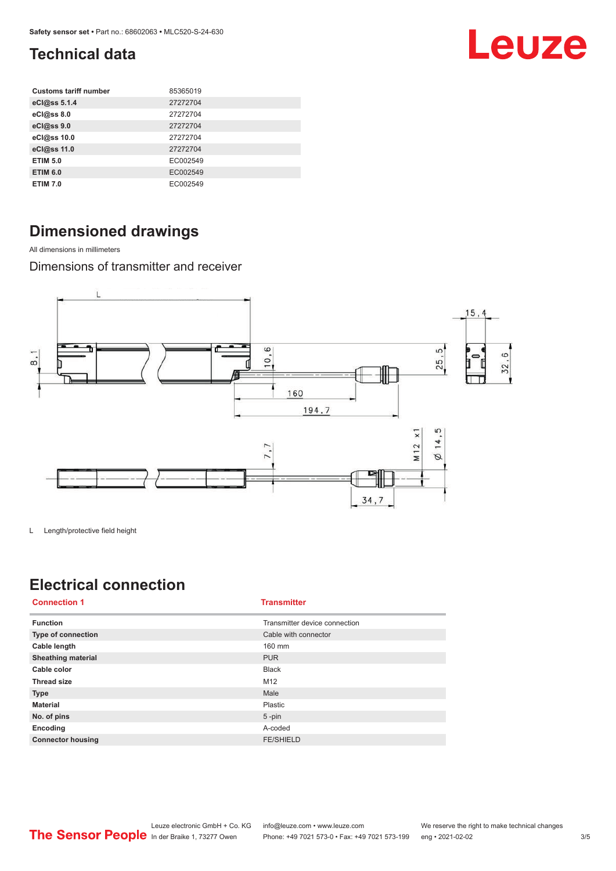### <span id="page-2-0"></span>**Technical data**

| <b>Customs tariff number</b> | 85365019 |
|------------------------------|----------|
| eCl@ss 5.1.4                 | 27272704 |
| eCl@ss 8.0                   | 27272704 |
| eCl@ss 9.0                   | 27272704 |
| eCl@ss 10.0                  | 27272704 |
| eCl@ss 11.0                  | 27272704 |
| <b>ETIM 5.0</b>              | EC002549 |
| <b>ETIM 6.0</b>              | EC002549 |
| <b>ETIM 7.0</b>              | EC002549 |

### **Dimensioned drawings**

All dimensions in millimeters

Dimensions of transmitter and receiver



L Length/protective field height

### **Electrical connection**

| <b>Connection 1</b>       | <b>Transmitter</b>            |
|---------------------------|-------------------------------|
| <b>Function</b>           | Transmitter device connection |
| Type of connection        | Cable with connector          |
| Cable length              | 160 mm                        |
| <b>Sheathing material</b> | <b>PUR</b>                    |
| Cable color               | <b>Black</b>                  |
| <b>Thread size</b>        | M12                           |
| <b>Type</b>               | Male                          |
| <b>Material</b>           | Plastic                       |
| No. of pins               | $5 - pin$                     |
| Encoding                  | A-coded                       |
| <b>Connector housing</b>  | <b>FE/SHIELD</b>              |

Leuze electronic GmbH + Co. KG info@leuze.com • www.leuze.com We reserve the right to make technical changes<br>
The Sensor People in der Braike 1, 73277 Owen Phone: +49 7021 573-0 • Fax: +49 7021 573-199 eng • 2021-02-02 Phone: +49 7021 573-0 • Fax: +49 7021 573-199 eng • 2021-02-02 3/5

Leuze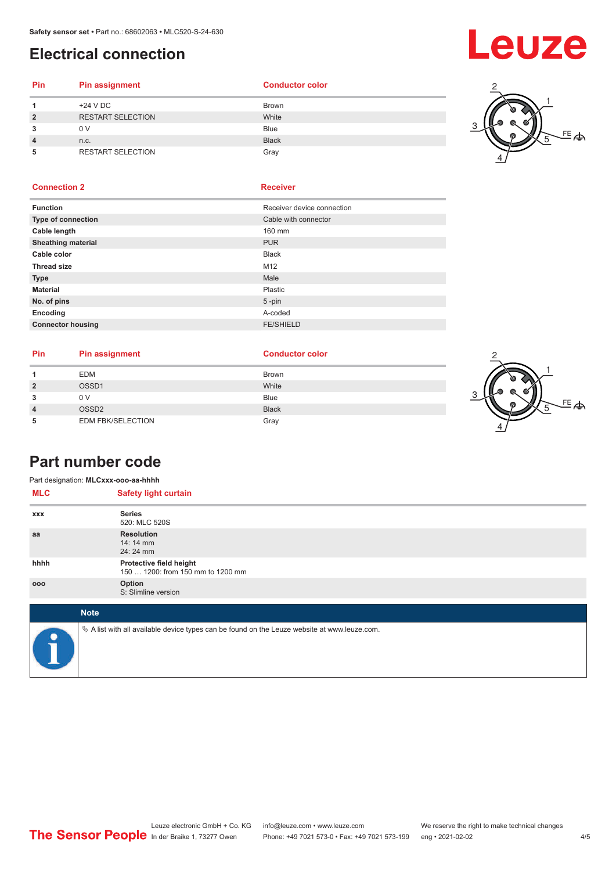### <span id="page-3-0"></span>**Electrical connection**

# Leuze

### **Pin Pin assignment Conductor Conductor Color 1** +24 V DC Brown **2** RESTART SELECTION White **3** 0 V Blue

**4** n.c. Black **5** RESTART SELECTION Gray



### **Connection 2 Receiver**

| <b>Function</b>           | Receiver device connection |
|---------------------------|----------------------------|
| Type of connection        | Cable with connector       |
| Cable length              | 160 mm                     |
| <b>Sheathing material</b> | <b>PUR</b>                 |
| Cable color               | <b>Black</b>               |
| <b>Thread size</b>        | M <sub>12</sub>            |
| <b>Type</b>               | Male                       |
| <b>Material</b>           | Plastic                    |
| No. of pins               | $5$ -pin                   |
| Encoding                  | A-coded                    |
| <b>Connector housing</b>  | <b>FE/SHIELD</b>           |
|                           |                            |

| Pin | <b>Pin assignment</b>    | <b>Conductor color</b> |
|-----|--------------------------|------------------------|
|     | <b>EDM</b>               | <b>Brown</b>           |
|     | OSSD <sub>1</sub>        | White                  |
|     | 0 V                      | <b>Blue</b>            |
| 4   | OSSD <sub>2</sub>        | <b>Black</b>           |
|     | <b>EDM FBK/SELECTION</b> | Gray                   |



### **Part number code**

| Part designation: MLCxxx-ooo-aa-hhhh |                                                                                                 |  |  |  |
|--------------------------------------|-------------------------------------------------------------------------------------------------|--|--|--|
| <b>MLC</b>                           | <b>Safety light curtain</b>                                                                     |  |  |  |
| <b>XXX</b>                           | <b>Series</b><br>520: MLC 520S                                                                  |  |  |  |
| aa                                   | <b>Resolution</b><br>14:14 mm<br>24: 24 mm                                                      |  |  |  |
| hhhh                                 | Protective field height<br>150  1200: from 150 mm to 1200 mm                                    |  |  |  |
| 000                                  | Option<br>S: Slimline version                                                                   |  |  |  |
|                                      | <b>Note</b>                                                                                     |  |  |  |
|                                      | $\&$ A list with all available device types can be found on the Leuze website at www.leuze.com. |  |  |  |